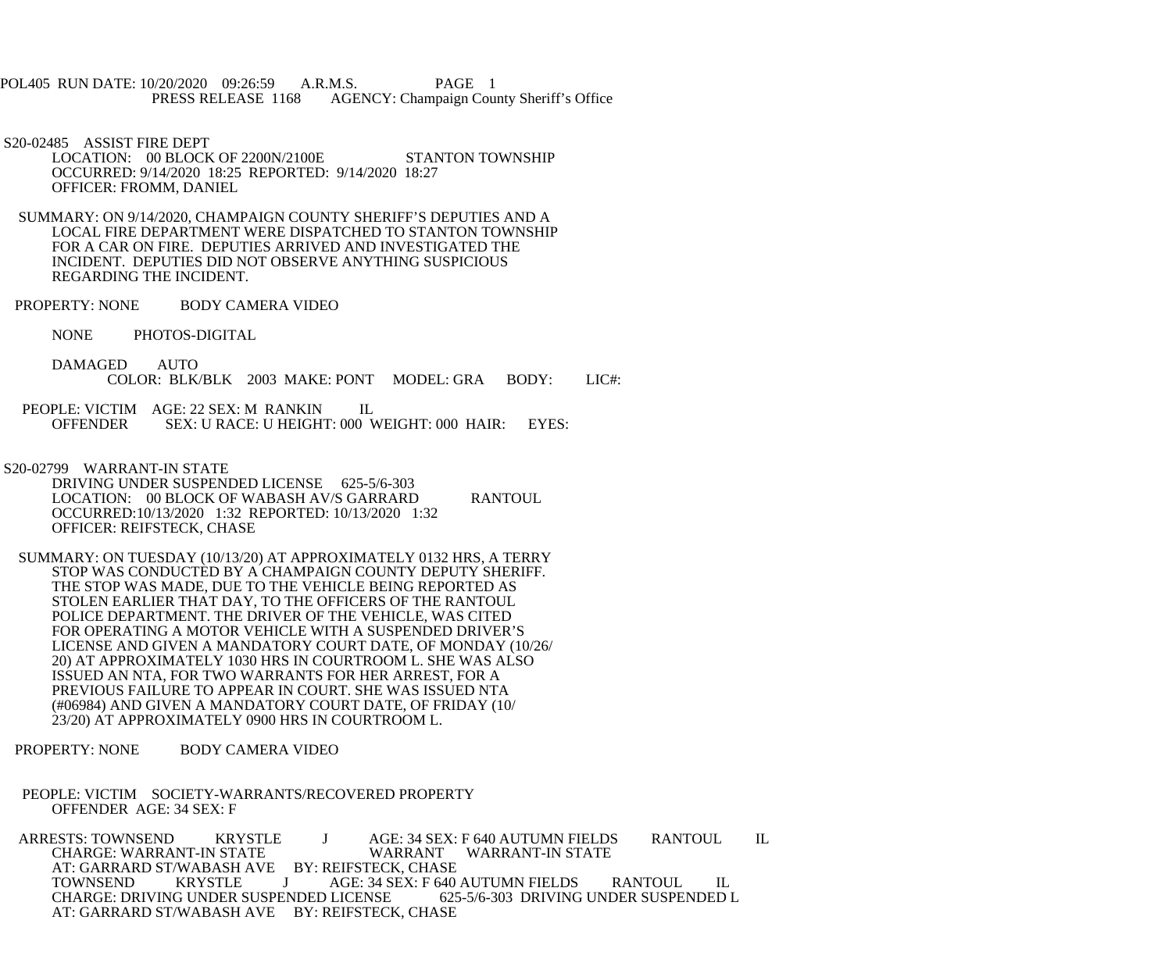POL405 RUN DATE: 10/20/2020 09:26:59 A.R.M.S. PAGE 1<br>PRESS RELEASE 1168 AGENCY: Champaign Cou AGENCY: Champaign County Sheriff's Office

S20-02485 ASSIST FIRE DEPT

LOCATION: 00 BLOCK OF 2200N/2100E STANTON TOWNSHIP OCCURRED: 9/14/2020 18:25 REPORTED: 9/14/2020 18:27 OFFICER: FROMM, DANIEL

 SUMMARY: ON 9/14/2020, CHAMPAIGN COUNTY SHERIFF'S DEPUTIES AND A LOCAL FIRE DEPARTMENT WERE DISPATCHED TO STANTON TOWNSHIP FOR A CAR ON FIRE. DEPUTIES ARRIVED AND INVESTIGATED THE INCIDENT. DEPUTIES DID NOT OBSERVE ANYTHING SUSPICIOUS REGARDING THE INCIDENT.

PROPERTY: NONE BODY CAMERA VIDEO

NONE PHOTOS-DIGITAL

 DAMAGED AUTO COLOR: BLK/BLK 2003 MAKE: PONT MODEL: GRA BODY: LIC#:

PEOPLE: VICTIM AGE: 22 SEX: M RANKIN IL<br>OFFENDER SEX: U RACE: U HEIGHT: 000 V SEX: U RACE: U HEIGHT: 000 WEIGHT: 000 HAIR: EYES:

S20-02799 WARRANT-IN STATE

 DRIVING UNDER SUSPENDED LICENSE 625-5/6-303 LOCATION: 00 BLOCK OF WABASH AV/S GARRARD RANTOUL OCCURRED:10/13/2020 1:32 REPORTED: 10/13/2020 1:32 OFFICER: REIFSTECK, CHASE

 SUMMARY: ON TUESDAY (10/13/20) AT APPROXIMATELY 0132 HRS, A TERRY STOP WAS CONDUCTED BY A CHAMPAIGN COUNTY DEPUTY SHERIFF. THE STOP WAS MADE, DUE TO THE VEHICLE BEING REPORTED AS STOLEN EARLIER THAT DAY, TO THE OFFICERS OF THE RANTOUL POLICE DEPARTMENT. THE DRIVER OF THE VEHICLE, WAS CITED FOR OPERATING A MOTOR VEHICLE WITH A SUSPENDED DRIVER'S LICENSE AND GIVEN A MANDATORY COURT DATE, OF MONDAY (10/26/ 20) AT APPROXIMATELY 1030 HRS IN COURTROOM L. SHE WAS ALSO ISSUED AN NTA, FOR TWO WARRANTS FOR HER ARREST, FOR A PREVIOUS FAILURE TO APPEAR IN COURT. SHE WAS ISSUED NTA (#06984) AND GIVEN A MANDATORY COURT DATE, OF FRIDAY (10/ 23/20) AT APPROXIMATELY 0900 HRS IN COURTROOM L.

PROPERTY: NONE BODY CAMERA VIDEO

 PEOPLE: VICTIM SOCIETY-WARRANTS/RECOVERED PROPERTY OFFENDER AGE: 34 SEX: F

ARRESTS: TOWNSEND KRYSTLE J AGE: 34 SEX: F 640 AUTUMN FIELDS RANTOUL IL<br>CHARGE: WARRANT-IN STATE WARRANT WARRANT-IN STATE WARRANT WARRANT-IN STATE AT: GARRARD ST/WABASH AVE BY: REIFSTECK, CHASE<br>TOWNSEND KRYSTLE J AGE: 34 SEX: F 640 J AGE: 34 SEX: F 640 AUTUMN FIELDS RANTOUL IL<br>ENDED LICENSE 625-5/6-303 DRIVING UNDER SUSPENDED L CHARGE: DRIVING UNDER SUSPENDED LICENSE AT: GARRARD ST/WABASH AVE BY: REIFSTECK, CHASE